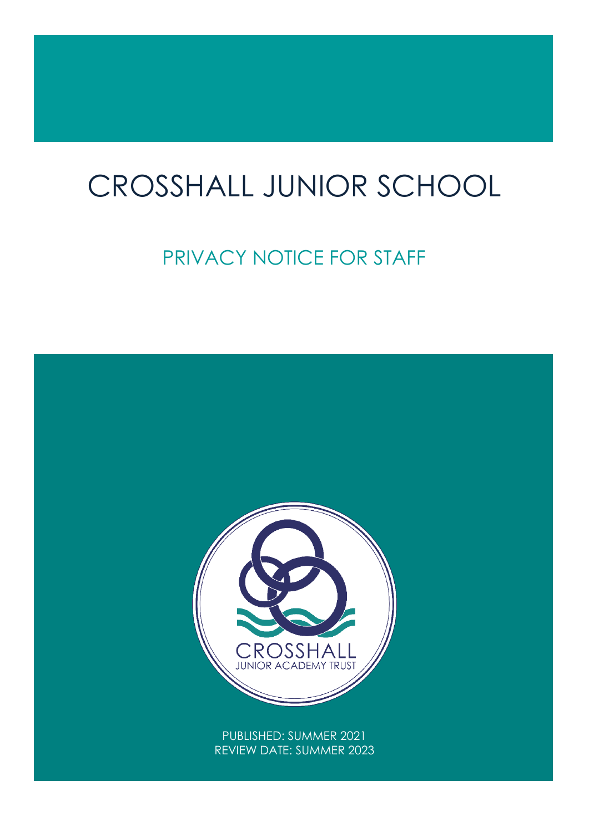# CROSSHALL JUNIOR SCHOOL

# PRIVACY NOTICE FOR STAFF

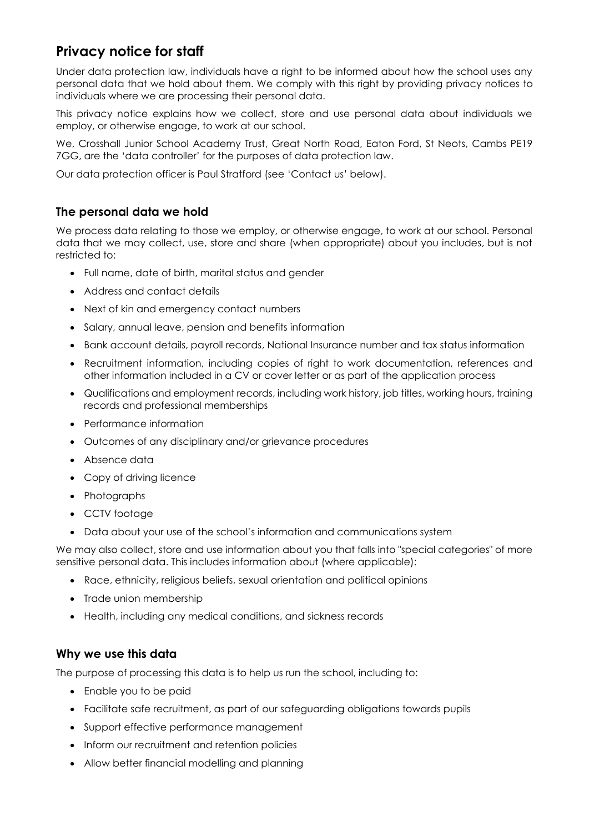# **Privacy notice for staff**

Under data protection law, individuals have a right to be informed about how the school uses any personal data that we hold about them. We comply with this right by providing privacy notices to individuals where we are processing their personal data.

This privacy notice explains how we collect, store and use personal data about individuals we employ, or otherwise engage, to work at our school.

We, Crosshall Junior School Academy Trust, Great North Road, Eaton Ford, St Neots, Cambs PE19 7GG, are the 'data controller' for the purposes of data protection law.

Our data protection officer is Paul Stratford (see 'Contact us' below).

# **The personal data we hold**

We process data relating to those we employ, or otherwise engage, to work at our school. Personal data that we may collect, use, store and share (when appropriate) about you includes, but is not restricted to:

- Full name, date of birth, marital status and gender
- Address and contact details
- Next of kin and emergency contact numbers
- Salary, annual leave, pension and benefits information
- Bank account details, payroll records, National Insurance number and tax status information
- Recruitment information, including copies of right to work documentation, references and other information included in a CV or cover letter or as part of the application process
- Qualifications and employment records, including work history, job titles, working hours, training records and professional memberships
- Performance information
- Outcomes of any disciplinary and/or grievance procedures
- Absence data
- Copy of driving licence
- Photographs
- CCTV footage
- Data about your use of the school's information and communications system

We may also collect, store and use information about you that falls into "special categories" of more sensitive personal data. This includes information about (where applicable):

- Race, ethnicity, religious beliefs, sexual orientation and political opinions
- Trade union membership
- Health, including any medical conditions, and sickness records

#### **Why we use this data**

The purpose of processing this data is to help us run the school, including to:

- Enable you to be paid
- Facilitate safe recruitment, as part of our safeguarding obligations towards pupils
- Support effective performance management
- Inform our recruitment and retention policies
- Allow better financial modelling and planning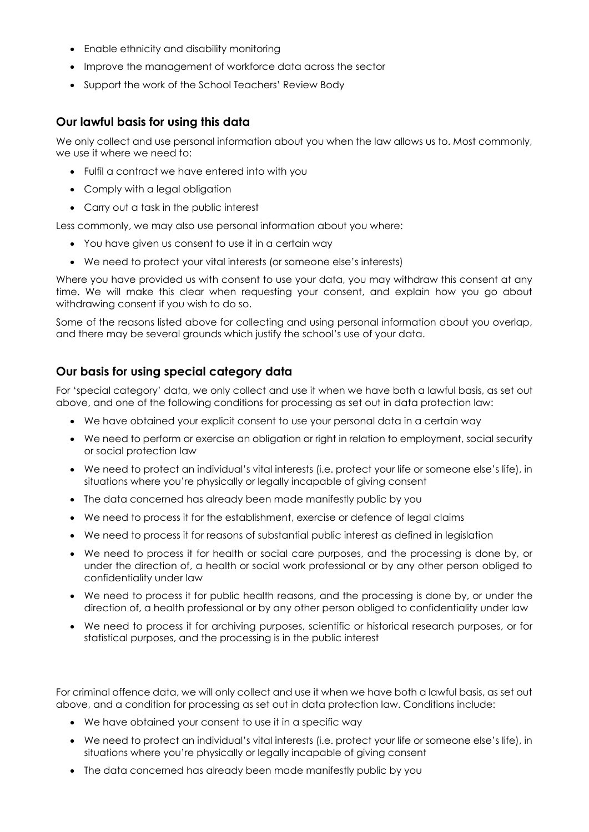- Enable ethnicity and disability monitoring
- Improve the management of workforce data across the sector
- Support the work of the School Teachers' Review Body

#### **Our lawful basis for using this data**

We only collect and use personal information about you when the law allows us to. Most commonly, we use it where we need to:

- Fulfil a contract we have entered into with you
- Comply with a legal obligation
- Carry out a task in the public interest

Less commonly, we may also use personal information about you where:

- You have given us consent to use it in a certain way
- We need to protect your vital interests (or someone else's interests)

Where you have provided us with consent to use your data, you may withdraw this consent at any time. We will make this clear when requesting your consent, and explain how you go about withdrawing consent if you wish to do so.

Some of the reasons listed above for collecting and using personal information about you overlap, and there may be several grounds which justify the school's use of your data.

#### **Our basis for using special category data**

For 'special category' data, we only collect and use it when we have both a lawful basis, as set out above, and one of the following conditions for processing as set out in data protection law:

- We have obtained your explicit consent to use your personal data in a certain way
- We need to perform or exercise an obligation or right in relation to employment, social security or social protection law
- We need to protect an individual's vital interests (i.e. protect your life or someone else's life), in situations where you're physically or legally incapable of giving consent
- The data concerned has already been made manifestly public by you
- We need to process it for the establishment, exercise or defence of legal claims
- We need to process it for reasons of substantial public interest as defined in legislation
- We need to process it for health or social care purposes, and the processing is done by, or under the direction of, a health or social work professional or by any other person obliged to confidentiality under law
- We need to process it for public health reasons, and the processing is done by, or under the direction of, a health professional or by any other person obliged to confidentiality under law
- We need to process it for archiving purposes, scientific or historical research purposes, or for statistical purposes, and the processing is in the public interest

For criminal offence data, we will only collect and use it when we have both a lawful basis, as set out above, and a condition for processing as set out in data protection law. Conditions include:

- We have obtained your consent to use it in a specific way
- We need to protect an individual's vital interests (i.e. protect your life or someone else's life), in situations where you're physically or legally incapable of giving consent
- The data concerned has already been made manifestly public by you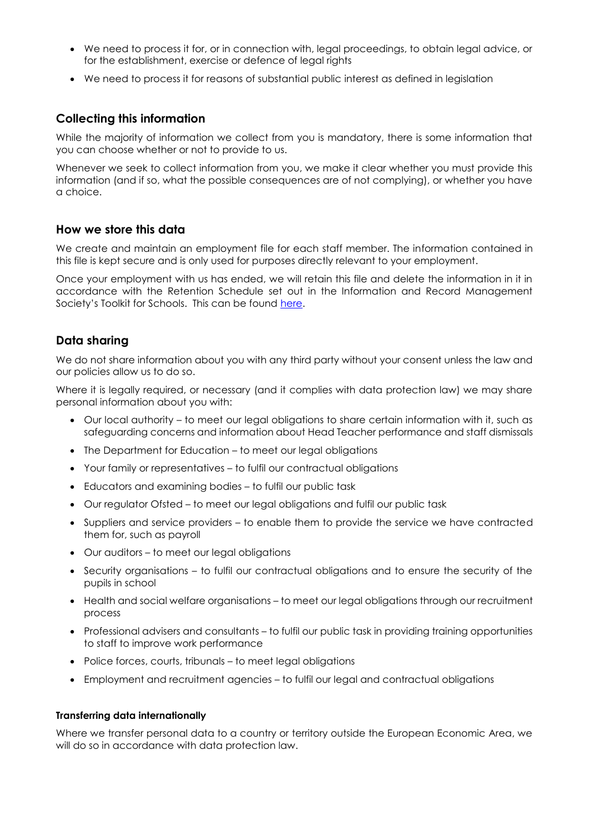- We need to process it for, or in connection with, legal proceedings, to obtain legal advice, or for the establishment, exercise or defence of legal rights
- We need to process it for reasons of substantial public interest as defined in legislation

# **Collecting this information**

While the majority of information we collect from you is mandatory, there is some information that you can choose whether or not to provide to us.

Whenever we seek to collect information from you, we make it clear whether you must provide this information (and if so, what the possible consequences are of not complying), or whether you have a choice.

#### **How we store this data**

We create and maintain an employment file for each staff member. The information contained in this file is kept secure and is only used for purposes directly relevant to your employment.

Once your employment with us has ended, we will retain this file and delete the information in it in accordance with the Retention Schedule set out in the Information and Record Management Society's Toolkit for Schools. This can be found [here.](http://irms.org.uk/?page=schoolstoolkit&terms=%22toolkit+and+schools%22)

# **Data sharing**

We do not share information about you with any third party without your consent unless the law and our policies allow us to do so.

Where it is legally required, or necessary (and it complies with data protection law) we may share personal information about you with:

- Our local authority to meet our legal obligations to share certain information with it, such as safeguarding concerns and information about Head Teacher performance and staff dismissals
- The Department for Education to meet our legal obligations
- Your family or representatives to fulfil our contractual obligations
- Educators and examining bodies to fulfil our public task
- Our regulator Ofsted to meet our legal obligations and fulfil our public task
- Suppliers and service providers to enable them to provide the service we have contracted them for, such as payroll
- Our auditors to meet our legal obligations
- Security organisations to fulfil our contractual obligations and to ensure the security of the pupils in school
- Health and social welfare organisations to meet our legal obligations through our recruitment process
- Professional advisers and consultants to fulfil our public task in providing training opportunities to staff to improve work performance
- Police forces, courts, tribunals to meet legal obligations
- Employment and recruitment agencies to fulfil our legal and contractual obligations

#### **Transferring data internationally**

Where we transfer personal data to a country or territory outside the European Economic Area, we will do so in accordance with data protection law.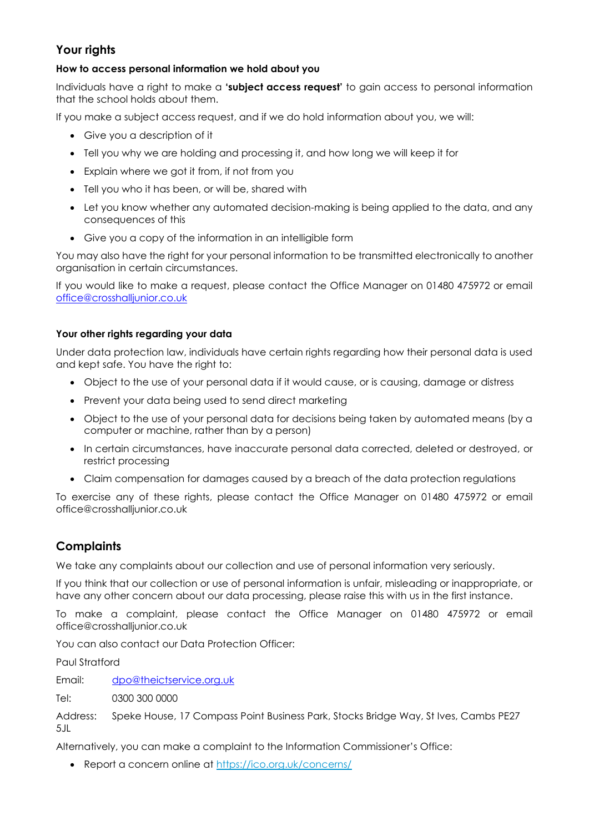# **Your rights**

#### **How to access personal information we hold about you**

Individuals have a right to make a **'subject access request'** to gain access to personal information that the school holds about them.

If you make a subject access request, and if we do hold information about you, we will:

- Give you a description of it
- Tell you why we are holding and processing it, and how long we will keep it for
- Explain where we got it from, if not from you
- Tell you who it has been, or will be, shared with
- Let you know whether any automated decision-making is being applied to the data, and any consequences of this
- Give you a copy of the information in an intelligible form

You may also have the right for your personal information to be transmitted electronically to another organisation in certain circumstances.

If you would like to make a request, please contact the Office Manager on 01480 475972 or email [office@crosshalljunior.co.uk](mailto:office@crosshalljunior.co.uk)

#### **Your other rights regarding your data**

Under data protection law, individuals have certain rights regarding how their personal data is used and kept safe. You have the right to:

- Object to the use of your personal data if it would cause, or is causing, damage or distress
- Prevent your data being used to send direct marketing
- Object to the use of your personal data for decisions being taken by automated means (by a computer or machine, rather than by a person)
- In certain circumstances, have inaccurate personal data corrected, deleted or destroyed, or restrict processing
- Claim compensation for damages caused by a breach of the data protection regulations

To exercise any of these rights, please contact the Office Manager on 01480 475972 or email office@crosshalljunior.co.uk

# **Complaints**

We take any complaints about our collection and use of personal information very seriously.

If you think that our collection or use of personal information is unfair, misleading or inappropriate, or have any other concern about our data processing, please raise this with us in the first instance.

To make a complaint, please contact the Office Manager on 01480 475972 or email office@crosshalljunior.co.uk

You can also contact our Data Protection Officer:

Paul Stratford

Email: [dpo@theictservice.org.uk](mailto:dpo@theictservice.org.uk)

Tel: 0300 300 0000

Address: Speke House, 17 Compass Point Business Park, Stocks Bridge Way, St Ives, Cambs PE27 5JL

Alternatively, you can make a complaint to the Information Commissioner's Office:

Report a concern online at<https://ico.org.uk/concerns/>